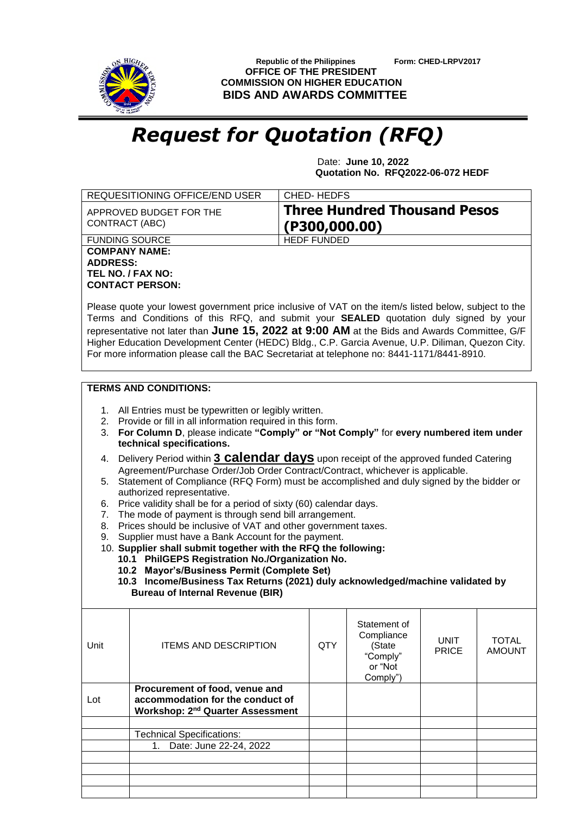

 **Republic of the Philippines Form: CHED-LRPV2017 OFFICE OF THE PRESIDENT COMMISSION ON HIGHER EDUCATION BIDS AND AWARDS COMMITTEE**

## *Request for Quotation (RFQ)*

 Date: **June 10, 2022 Quotation No. RFQ2022-06-072 HEDF**

| REQUESITIONING OFFICE/END USER                                                                                                                                                                                                                                                                                                                                                                                                                                                                                                                                                                                                                                                                                                                                                                                                                                                                                                                                                                                                                                                                                                                                                           |                                                                                                                          | CHED-HEDFS         |                                                                         |                             |                               |  |  |
|------------------------------------------------------------------------------------------------------------------------------------------------------------------------------------------------------------------------------------------------------------------------------------------------------------------------------------------------------------------------------------------------------------------------------------------------------------------------------------------------------------------------------------------------------------------------------------------------------------------------------------------------------------------------------------------------------------------------------------------------------------------------------------------------------------------------------------------------------------------------------------------------------------------------------------------------------------------------------------------------------------------------------------------------------------------------------------------------------------------------------------------------------------------------------------------|--------------------------------------------------------------------------------------------------------------------------|--------------------|-------------------------------------------------------------------------|-----------------------------|-------------------------------|--|--|
| CONTRACT (ABC)                                                                                                                                                                                                                                                                                                                                                                                                                                                                                                                                                                                                                                                                                                                                                                                                                                                                                                                                                                                                                                                                                                                                                                           | APPROVED BUDGET FOR THE                                                                                                  | (P300, 000.00)     | <b>Three Hundred Thousand Pesos</b>                                     |                             |                               |  |  |
| <b>FUNDING SOURCE</b>                                                                                                                                                                                                                                                                                                                                                                                                                                                                                                                                                                                                                                                                                                                                                                                                                                                                                                                                                                                                                                                                                                                                                                    |                                                                                                                          | <b>HEDF FUNDED</b> |                                                                         |                             |                               |  |  |
| <b>COMPANY NAME:</b><br><b>ADDRESS:</b>                                                                                                                                                                                                                                                                                                                                                                                                                                                                                                                                                                                                                                                                                                                                                                                                                                                                                                                                                                                                                                                                                                                                                  | TEL NO. / FAX NO:<br><b>CONTACT PERSON:</b>                                                                              |                    |                                                                         |                             |                               |  |  |
| Please quote your lowest government price inclusive of VAT on the item/s listed below, subject to the<br>Terms and Conditions of this RFQ, and submit your <b>SEALED</b> quotation duly signed by your<br>representative not later than June 15, 2022 at 9:00 AM at the Bids and Awards Committee, G/F<br>Higher Education Development Center (HEDC) Bldg., C.P. Garcia Avenue, U.P. Diliman, Quezon City.<br>For more information please call the BAC Secretariat at telephone no: 8441-1171/8441-8910.                                                                                                                                                                                                                                                                                                                                                                                                                                                                                                                                                                                                                                                                                 |                                                                                                                          |                    |                                                                         |                             |                               |  |  |
| <b>TERMS AND CONDITIONS:</b><br>1. All Entries must be typewritten or legibly written.<br>Provide or fill in all information required in this form.<br>2.<br>For Column D, please indicate "Comply" or "Not Comply" for every numbered item under<br>3.<br>technical specifications.<br>Delivery Period within 3 <b>Calendar days</b> upon receipt of the approved funded Catering<br>4.<br>Agreement/Purchase Order/Job Order Contract/Contract, whichever is applicable.<br>Statement of Compliance (RFQ Form) must be accomplished and duly signed by the bidder or<br>5.<br>authorized representative.<br>Price validity shall be for a period of sixty (60) calendar days.<br>6.<br>The mode of payment is through send bill arrangement.<br>7.<br>Prices should be inclusive of VAT and other government taxes.<br>8.<br>Supplier must have a Bank Account for the payment.<br>9.<br>10. Supplier shall submit together with the RFQ the following:<br>10.1 PhilGEPS Registration No./Organization No.<br>10.2 Mayor's/Business Permit (Complete Set)<br>10.3 Income/Business Tax Returns (2021) duly acknowledged/machine validated by<br><b>Bureau of Internal Revenue (BIR)</b> |                                                                                                                          |                    |                                                                         |                             |                               |  |  |
| Unit                                                                                                                                                                                                                                                                                                                                                                                                                                                                                                                                                                                                                                                                                                                                                                                                                                                                                                                                                                                                                                                                                                                                                                                     | <b>ITEMS AND DESCRIPTION</b>                                                                                             | <b>QTY</b>         | Statement of<br>Compliance<br>(State<br>"Comply"<br>or "Not<br>Comply") | <b>UNIT</b><br><b>PRICE</b> | <b>TOTAL</b><br><b>AMOUNT</b> |  |  |
| Lot                                                                                                                                                                                                                                                                                                                                                                                                                                                                                                                                                                                                                                                                                                                                                                                                                                                                                                                                                                                                                                                                                                                                                                                      | Procurement of food, venue and<br>accommodation for the conduct of<br><b>Workshop: 2<sup>nd</sup> Quarter Assessment</b> |                    |                                                                         |                             |                               |  |  |
|                                                                                                                                                                                                                                                                                                                                                                                                                                                                                                                                                                                                                                                                                                                                                                                                                                                                                                                                                                                                                                                                                                                                                                                          | <b>Technical Specifications:</b>                                                                                         |                    |                                                                         |                             |                               |  |  |
|                                                                                                                                                                                                                                                                                                                                                                                                                                                                                                                                                                                                                                                                                                                                                                                                                                                                                                                                                                                                                                                                                                                                                                                          | Date: June 22-24, 2022<br>1 <sub>1</sub>                                                                                 |                    |                                                                         |                             |                               |  |  |
|                                                                                                                                                                                                                                                                                                                                                                                                                                                                                                                                                                                                                                                                                                                                                                                                                                                                                                                                                                                                                                                                                                                                                                                          |                                                                                                                          |                    |                                                                         |                             |                               |  |  |
|                                                                                                                                                                                                                                                                                                                                                                                                                                                                                                                                                                                                                                                                                                                                                                                                                                                                                                                                                                                                                                                                                                                                                                                          |                                                                                                                          |                    |                                                                         |                             |                               |  |  |
|                                                                                                                                                                                                                                                                                                                                                                                                                                                                                                                                                                                                                                                                                                                                                                                                                                                                                                                                                                                                                                                                                                                                                                                          |                                                                                                                          |                    |                                                                         |                             |                               |  |  |
|                                                                                                                                                                                                                                                                                                                                                                                                                                                                                                                                                                                                                                                                                                                                                                                                                                                                                                                                                                                                                                                                                                                                                                                          |                                                                                                                          |                    |                                                                         |                             |                               |  |  |